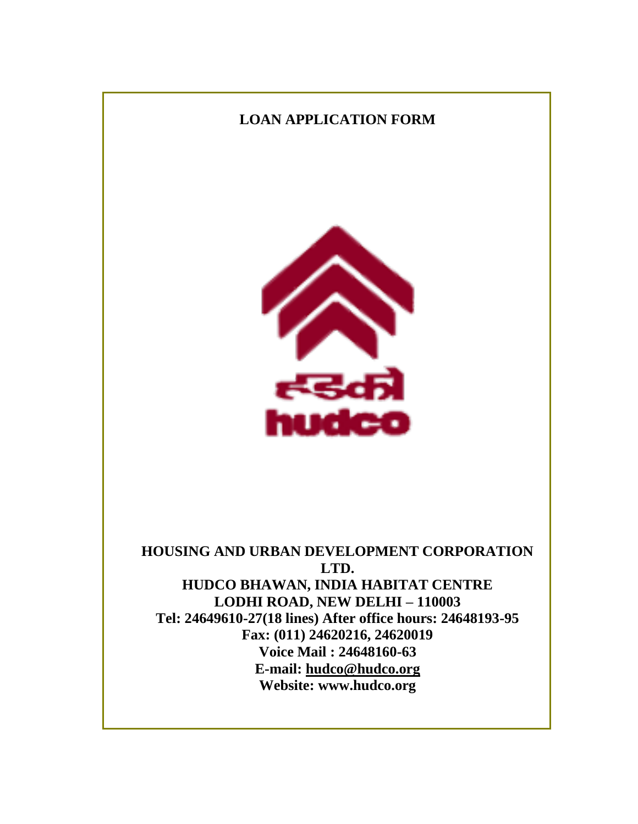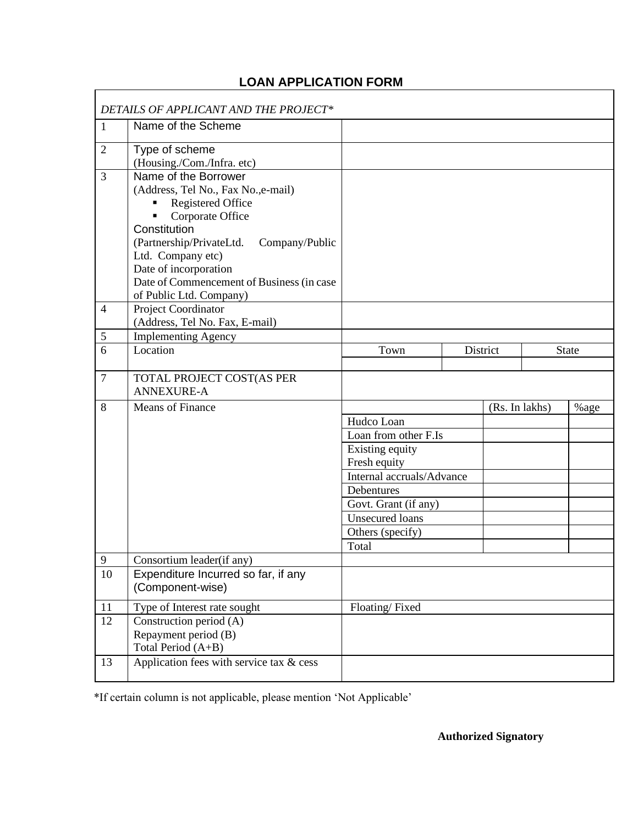# **LOAN APPLICATION FORM**

 $\Gamma$ 

|                | DETAILS OF APPLICANT AND THE PROJECT*                              |                           |  |          |      |              |
|----------------|--------------------------------------------------------------------|---------------------------|--|----------|------|--------------|
| $\mathbf{1}$   | Name of the Scheme                                                 |                           |  |          |      |              |
| $\overline{2}$ | Type of scheme                                                     |                           |  |          |      |              |
|                | (Housing./Com./Infra. etc)                                         |                           |  |          |      |              |
| 3              | Name of the Borrower                                               |                           |  |          |      |              |
|                | (Address, Tel No., Fax No., e-mail)                                |                           |  |          |      |              |
|                | Registered Office                                                  |                           |  |          |      |              |
|                | Corporate Office                                                   |                           |  |          |      |              |
|                | Constitution                                                       |                           |  |          |      |              |
|                | (Partnership/PrivateLtd.<br>Company/Public                         |                           |  |          |      |              |
|                | Ltd. Company etc)                                                  |                           |  |          |      |              |
|                | Date of incorporation<br>Date of Commencement of Business (in case |                           |  |          |      |              |
|                | of Public Ltd. Company)                                            |                           |  |          |      |              |
| $\overline{4}$ | Project Coordinator                                                |                           |  |          |      |              |
|                | (Address, Tel No. Fax, E-mail)                                     |                           |  |          |      |              |
| 5              | <b>Implementing Agency</b>                                         |                           |  |          |      |              |
| 6              | Location                                                           | Town                      |  | District |      | <b>State</b> |
|                |                                                                    |                           |  |          |      |              |
| $\overline{7}$ | TOTAL PROJECT COST(AS PER                                          |                           |  |          |      |              |
|                | <b>ANNEXURE-A</b>                                                  |                           |  |          |      |              |
| 8              | Means of Finance                                                   | (Rs. In lakhs)            |  |          | %age |              |
|                |                                                                    | Hudco Loan                |  |          |      |              |
|                |                                                                    | Loan from other F.Is      |  |          |      |              |
|                |                                                                    | Existing equity           |  |          |      |              |
|                |                                                                    | Fresh equity              |  |          |      |              |
|                |                                                                    | Internal accruals/Advance |  |          |      |              |
|                |                                                                    | Debentures                |  |          |      |              |
|                |                                                                    | Govt. Grant (if any)      |  |          |      |              |
|                |                                                                    | <b>Unsecured loans</b>    |  |          |      |              |
|                |                                                                    | Others (specify)          |  |          |      |              |
|                |                                                                    | Total                     |  |          |      |              |
| $\mathbf Q$    | Consortium leader(if any)                                          |                           |  |          |      |              |
| 10             | Expenditure Incurred so far, if any                                |                           |  |          |      |              |
|                | (Component-wise)                                                   |                           |  |          |      |              |
| $11\,$         | Type of Interest rate sought                                       | Floating/Fixed            |  |          |      |              |
| 12             | Construction period (A)                                            |                           |  |          |      |              |
|                | Repayment period (B)                                               |                           |  |          |      |              |
|                | Total Period (A+B)                                                 |                           |  |          |      |              |
| 13             | Application fees with service tax $\&$ cess                        |                           |  |          |      |              |
|                |                                                                    |                           |  |          |      |              |

\*If certain column is not applicable, please mention 'Not Applicable'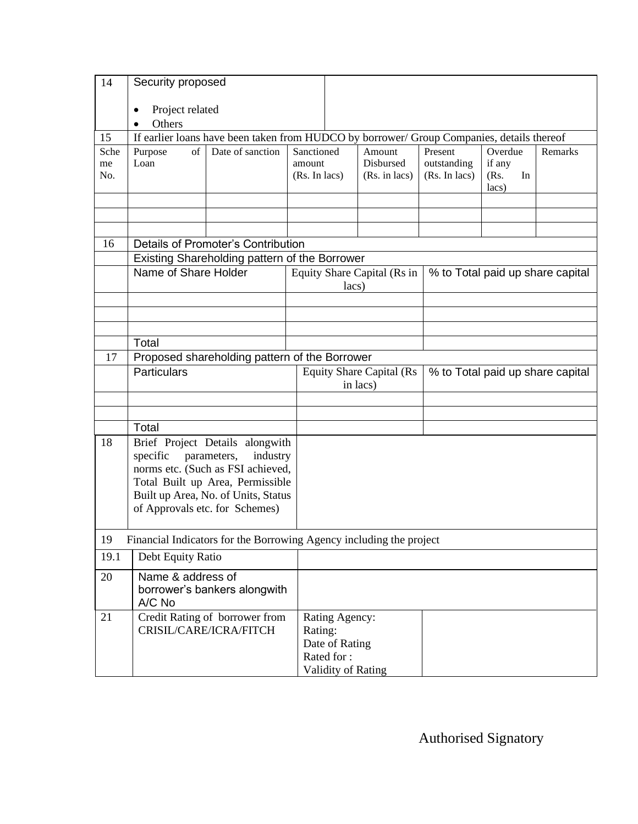| 14   | Security proposed    |                                                                                           |               |                |                                  |               |                     |                                  |
|------|----------------------|-------------------------------------------------------------------------------------------|---------------|----------------|----------------------------------|---------------|---------------------|----------------------------------|
|      | Project related      |                                                                                           |               |                |                                  |               |                     |                                  |
|      | Others               |                                                                                           |               |                |                                  |               |                     |                                  |
| 15   |                      | If earlier loans have been taken from HUDCO by borrower/ Group Companies, details thereof |               |                |                                  |               |                     |                                  |
| Sche | Purpose<br>of        | Date of sanction                                                                          | Sanctioned    |                | Amount                           | Present       | Overdue             | Remarks                          |
| me   | Loan                 |                                                                                           | amount        |                | Disbursed                        | outstanding   | if any              |                                  |
| No.  |                      |                                                                                           | (Rs. In lacs) |                | (Rs. in lacs)                    | (Rs. In lacs) | (Rs.<br>In<br>lacs) |                                  |
|      |                      |                                                                                           |               |                |                                  |               |                     |                                  |
|      |                      |                                                                                           |               |                |                                  |               |                     |                                  |
|      |                      |                                                                                           |               |                |                                  |               |                     |                                  |
| 16   |                      | Details of Promoter's Contribution                                                        |               |                |                                  |               |                     |                                  |
|      |                      | Existing Shareholding pattern of the Borrower                                             |               |                |                                  |               |                     |                                  |
|      | Name of Share Holder |                                                                                           |               |                | Equity Share Capital (Rs in      |               |                     | % to Total paid up share capital |
|      |                      |                                                                                           |               | lacs)          |                                  |               |                     |                                  |
|      |                      |                                                                                           |               |                |                                  |               |                     |                                  |
|      |                      |                                                                                           |               |                |                                  |               |                     |                                  |
|      | Total                |                                                                                           |               |                |                                  |               |                     |                                  |
| 17   |                      | Proposed shareholding pattern of the Borrower                                             |               |                |                                  |               |                     |                                  |
|      | Particulars          |                                                                                           |               |                | <b>Equity Share Capital (Rs)</b> |               |                     | % to Total paid up share capital |
|      |                      |                                                                                           |               | in lacs)       |                                  |               |                     |                                  |
|      |                      |                                                                                           |               |                |                                  |               |                     |                                  |
|      | Total                |                                                                                           |               |                |                                  |               |                     |                                  |
| 18   |                      | Brief Project Details alongwith                                                           |               |                |                                  |               |                     |                                  |
|      | specific             | parameters,<br>industry                                                                   |               |                |                                  |               |                     |                                  |
|      |                      | norms etc. (Such as FSI achieved,                                                         |               |                |                                  |               |                     |                                  |
|      |                      | Total Built up Area, Permissible                                                          |               |                |                                  |               |                     |                                  |
|      |                      | Built up Area, No. of Units, Status                                                       |               |                |                                  |               |                     |                                  |
|      |                      | of Approvals etc. for Schemes)                                                            |               |                |                                  |               |                     |                                  |
|      |                      | 19 Financial Indicators for the Borrowing Agency including the project                    |               |                |                                  |               |                     |                                  |
| 19.1 | Debt Equity Ratio    |                                                                                           |               |                |                                  |               |                     |                                  |
|      | Name & address of    |                                                                                           |               |                |                                  |               |                     |                                  |
| 20   |                      | borrower's bankers alongwith                                                              |               |                |                                  |               |                     |                                  |
|      | A/C No               |                                                                                           |               |                |                                  |               |                     |                                  |
| 21   |                      | Credit Rating of borrower from                                                            |               | Rating Agency: |                                  |               |                     |                                  |
|      |                      | CRISIL/CARE/ICRA/FITCH                                                                    | Rating:       |                |                                  |               |                     |                                  |
|      |                      |                                                                                           |               | Date of Rating |                                  |               |                     |                                  |
|      |                      |                                                                                           |               | Rated for:     |                                  |               |                     |                                  |
|      |                      |                                                                                           |               |                | Validity of Rating               |               |                     |                                  |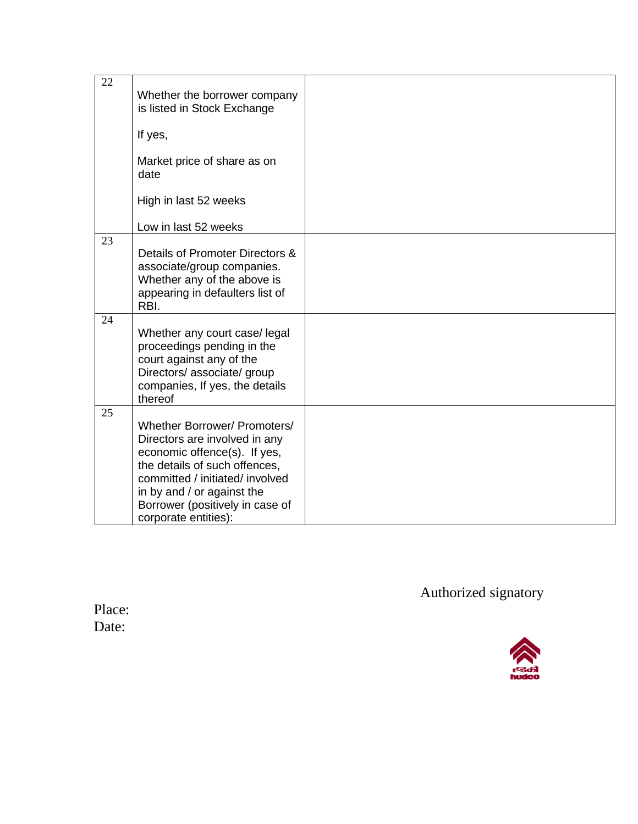| 22 | Whether the borrower company<br>is listed in Stock Exchange                                                                                                                                                                                                |  |
|----|------------------------------------------------------------------------------------------------------------------------------------------------------------------------------------------------------------------------------------------------------------|--|
|    | If yes,                                                                                                                                                                                                                                                    |  |
|    | Market price of share as on<br>date                                                                                                                                                                                                                        |  |
|    | High in last 52 weeks                                                                                                                                                                                                                                      |  |
|    | Low in last 52 weeks                                                                                                                                                                                                                                       |  |
| 23 | Details of Promoter Directors &<br>associate/group companies.<br>Whether any of the above is<br>appearing in defaulters list of<br>RBI.                                                                                                                    |  |
| 24 | Whether any court case/legal<br>proceedings pending in the<br>court against any of the<br>Directors/ associate/ group<br>companies, If yes, the details<br>thereof                                                                                         |  |
| 25 | Whether Borrower/ Promoters/<br>Directors are involved in any<br>economic offence(s). If yes,<br>the details of such offences,<br>committed / initiated/ involved<br>in by and / or against the<br>Borrower (positively in case of<br>corporate entities): |  |

Authorized signatory

Place: Date: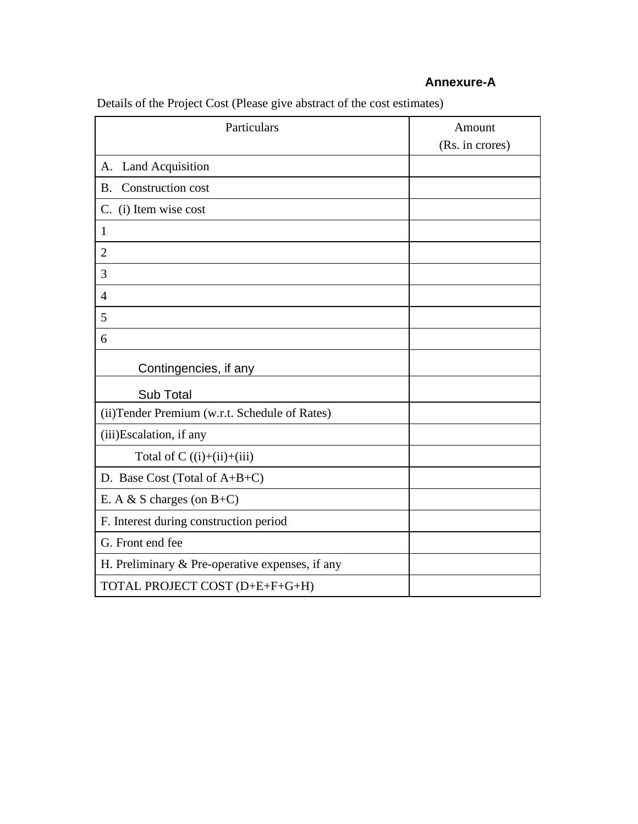# **Annexure-A**

| Particulars                                     | Amount          |
|-------------------------------------------------|-----------------|
|                                                 | (Rs. in crores) |
| <b>Land Acquisition</b><br>A.                   |                 |
| Construction cost<br><b>B.</b>                  |                 |
| C. (i) Item wise cost                           |                 |
| $\mathbf{1}$                                    |                 |
| $\overline{2}$                                  |                 |
| 3                                               |                 |
| $\overline{4}$                                  |                 |
| 5                                               |                 |
| 6                                               |                 |
| Contingencies, if any                           |                 |
| Sub Total                                       |                 |
| (ii) Tender Premium (w.r.t. Schedule of Rates)  |                 |
| (iii) Escalation, if any                        |                 |
| Total of $C((i)+(ii)+(iii))$                    |                 |
| D. Base Cost (Total of A+B+C)                   |                 |
| E. A & S charges (on $B+C$ )                    |                 |
| F. Interest during construction period          |                 |
| G. Front end fee                                |                 |
| H. Preliminary & Pre-operative expenses, if any |                 |
| TOTAL PROJECT COST (D+E+F+G+H)                  |                 |

Details of the Project Cost (Please give abstract of the cost estimates)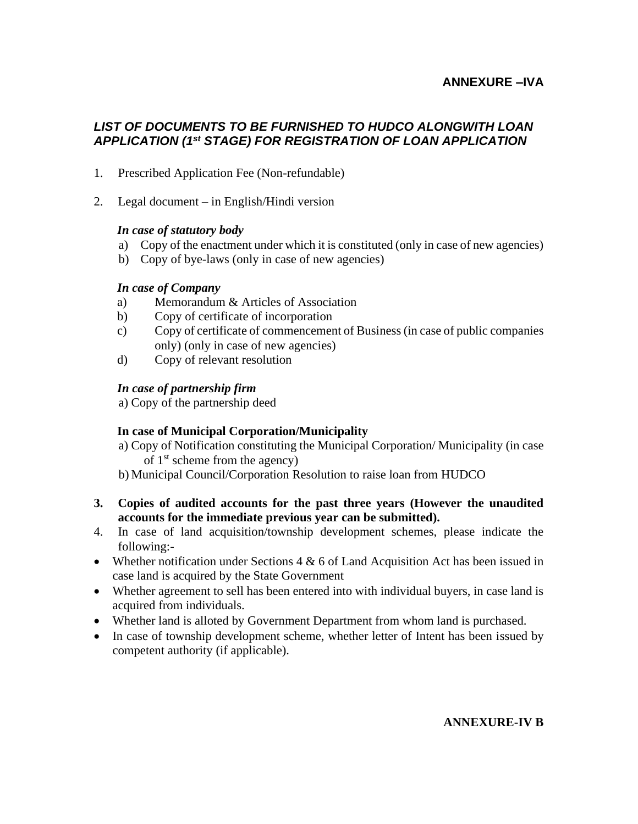## **ANNEXURE –IVA**

## *LIST OF DOCUMENTS TO BE FURNISHED TO HUDCO ALONGWITH LOAN APPLICATION (1st STAGE) FOR REGISTRATION OF LOAN APPLICATION*

- 1. Prescribed Application Fee (Non-refundable)
- 2. Legal document in English/Hindi version

#### *In case of statutory body*

- a) Copy of the enactment under which it is constituted (only in case of new agencies)
- b) Copy of bye-laws (only in case of new agencies)

#### *In case of Company*

- a) Memorandum & Articles of Association
- b) Copy of certificate of incorporation
- c) Copy of certificate of commencement of Business (in case of public companies only) (only in case of new agencies)
- d) Copy of relevant resolution

#### *In case of partnership firm*

a) Copy of the partnership deed

#### **In case of Municipal Corporation/Municipality**

- a) Copy of Notification constituting the Municipal Corporation/ Municipality (in case of 1st scheme from the agency)
- b) Municipal Council/Corporation Resolution to raise loan from HUDCO
- **3. Copies of audited accounts for the past three years (However the unaudited accounts for the immediate previous year can be submitted).**
- 4. In case of land acquisition/township development schemes, please indicate the following:-
- Whether notification under Sections  $4 \& 6$  of Land Acquisition Act has been issued in case land is acquired by the State Government
- Whether agreement to sell has been entered into with individual buyers, in case land is acquired from individuals.
- Whether land is alloted by Government Department from whom land is purchased.
- In case of township development scheme, whether letter of Intent has been issued by competent authority (if applicable).

#### **ANNEXURE-IV B**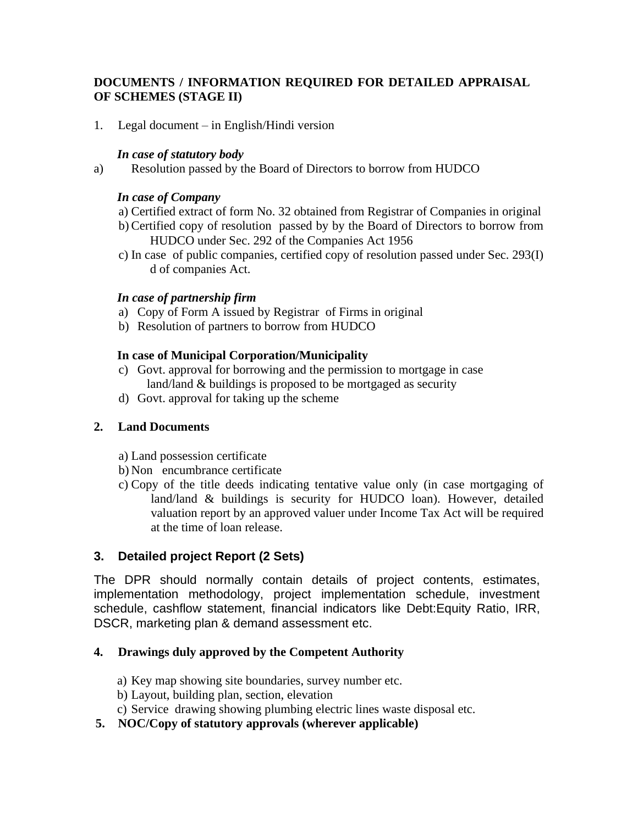## **DOCUMENTS / INFORMATION REQUIRED FOR DETAILED APPRAISAL OF SCHEMES (STAGE II)**

1. Legal document – in English/Hindi version

#### *In case of statutory body*

a) Resolution passed by the Board of Directors to borrow from HUDCO

#### *In case of Company*

- a) Certified extract of form No. 32 obtained from Registrar of Companies in original
- b) Certified copy of resolution passed by by the Board of Directors to borrow from HUDCO under Sec. 292 of the Companies Act 1956
- c) In case of public companies, certified copy of resolution passed under Sec. 293(I) d of companies Act.

#### *In case of partnership firm*

- a) Copy of Form A issued by Registrar of Firms in original
- b) Resolution of partners to borrow from HUDCO

## **In case of Municipal Corporation/Municipality**

- c) Govt. approval for borrowing and the permission to mortgage in case land/land & buildings is proposed to be mortgaged as security
- d) Govt. approval for taking up the scheme

## **2. Land Documents**

- a) Land possession certificate
- b) Non encumbrance certificate
- c) Copy of the title deeds indicating tentative value only (in case mortgaging of land/land & buildings is security for HUDCO loan). However, detailed valuation report by an approved valuer under Income Tax Act will be required at the time of loan release.

## **3. Detailed project Report (2 Sets)**

The DPR should normally contain details of project contents, estimates, implementation methodology, project implementation schedule, investment schedule, cashflow statement, financial indicators like Debt:Equity Ratio, IRR, DSCR, marketing plan & demand assessment etc.

## **4. Drawings duly approved by the Competent Authority**

- a) Key map showing site boundaries, survey number etc.
- b) Layout, building plan, section, elevation
- c) Service drawing showing plumbing electric lines waste disposal etc.
- **5. NOC/Copy of statutory approvals (wherever applicable)**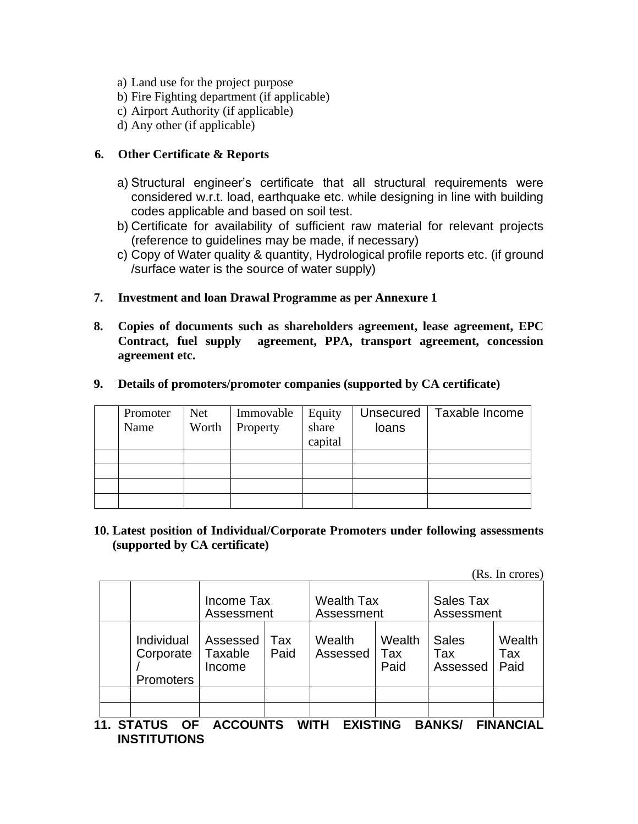- a) Land use for the project purpose
- b) Fire Fighting department (if applicable)
- c) Airport Authority (if applicable)
- d) Any other (if applicable)

#### **6. Other Certificate & Reports**

- a) Structural engineer's certificate that all structural requirements were considered w.r.t. load, earthquake etc. while designing in line with building codes applicable and based on soil test.
- b) Certificate for availability of sufficient raw material for relevant projects (reference to guidelines may be made, if necessary)
- c) Copy of Water quality & quantity, Hydrological profile reports etc. (if ground /surface water is the source of water supply)
- **7. Investment and loan Drawal Programme as per Annexure 1**
- **8. Copies of documents such as shareholders agreement, lease agreement, EPC Contract, fuel supply agreement, PPA, transport agreement, concession agreement etc.**

| Promoter<br>Name | <b>Net</b><br>Worth | Immovable<br>Property | Equity<br>share<br>capital | Unsecured<br>loans | Taxable Income |
|------------------|---------------------|-----------------------|----------------------------|--------------------|----------------|
|                  |                     |                       |                            |                    |                |
|                  |                     |                       |                            |                    |                |
|                  |                     |                       |                            |                    |                |
|                  |                     |                       |                            |                    |                |

#### **9. Details of promoters/promoter companies (supported by CA certificate)**

**10. Latest position of Individual/Corporate Promoters under following assessments (supported by CA certificate)**

(Rs. In crores)

|                                      | Income Tax<br>Assessment      |             | <b>Wealth Tax</b><br>Assessment |                       | Sales Tax<br>Assessment         |                       |  |
|--------------------------------------|-------------------------------|-------------|---------------------------------|-----------------------|---------------------------------|-----------------------|--|
| Individual<br>Corporate<br>Promoters | Assessed<br>Taxable<br>Income | Tax<br>Paid | Wealth<br>Assessed              | Wealth<br>Tax<br>Paid | <b>Sales</b><br>Tax<br>Assessed | Wealth<br>Tax<br>Paid |  |
|                                      |                               |             |                                 |                       |                                 |                       |  |
|                                      |                               |             |                                 |                       |                                 |                       |  |

**11. STATUS OF ACCOUNTS WITH EXISTING BANKS/ FINANCIAL INSTITUTIONS**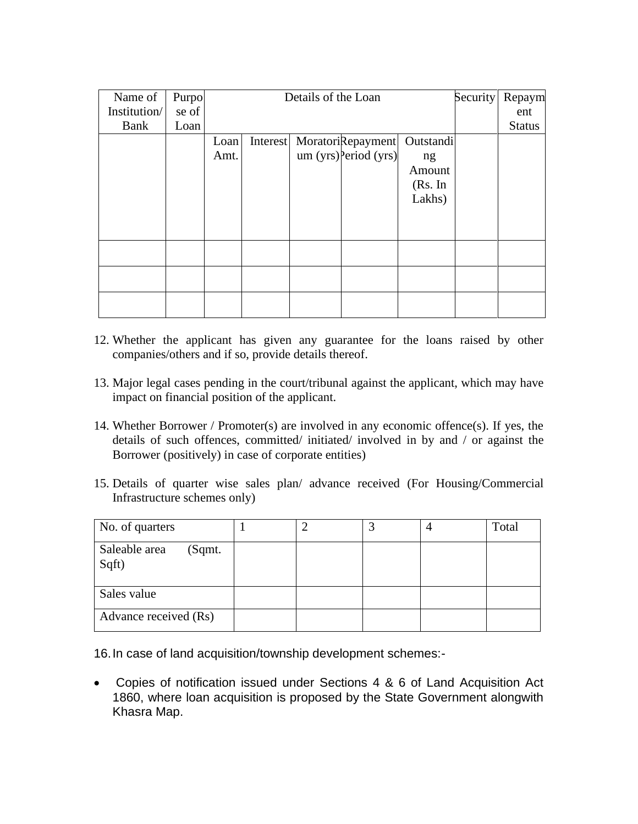| Name of      | Purpo |      |          | Details of the Loan |                        |           | Security | Repaym        |
|--------------|-------|------|----------|---------------------|------------------------|-----------|----------|---------------|
| Institution/ | se of |      |          |                     |                        |           |          | ent           |
| Bank         | Loan  |      |          |                     |                        |           |          | <b>Status</b> |
|              |       | Loan | Interest |                     | MoratoriRepayment      | Outstandi |          |               |
|              |       | Amt. |          |                     | $um(yrs)$ Period (yrs) | ng        |          |               |
|              |       |      |          |                     |                        | Amount    |          |               |
|              |       |      |          |                     |                        | (Rs. In   |          |               |
|              |       |      |          |                     |                        | Lakhs)    |          |               |
|              |       |      |          |                     |                        |           |          |               |
|              |       |      |          |                     |                        |           |          |               |
|              |       |      |          |                     |                        |           |          |               |
|              |       |      |          |                     |                        |           |          |               |
|              |       |      |          |                     |                        |           |          |               |
|              |       |      |          |                     |                        |           |          |               |
|              |       |      |          |                     |                        |           |          |               |
|              |       |      |          |                     |                        |           |          |               |

- 12. Whether the applicant has given any guarantee for the loans raised by other companies/others and if so, provide details thereof.
- 13. Major legal cases pending in the court/tribunal against the applicant, which may have impact on financial position of the applicant.
- 14. Whether Borrower / Promoter(s) are involved in any economic offence(s). If yes, the details of such offences, committed/ initiated/ involved in by and / or against the Borrower (positively) in case of corporate entities)
- 15. Details of quarter wise sales plan/ advance received (For Housing/Commercial Infrastructure schemes only)

| No. of quarters                  |  |  | Total |
|----------------------------------|--|--|-------|
| Saleable area<br>(Sqmt.<br>Sqft) |  |  |       |
| Sales value                      |  |  |       |
| Advance received (Rs)            |  |  |       |

16.In case of land acquisition/township development schemes:-

• Copies of notification issued under Sections 4 & 6 of Land Acquisition Act 1860, where loan acquisition is proposed by the State Government alongwith Khasra Map.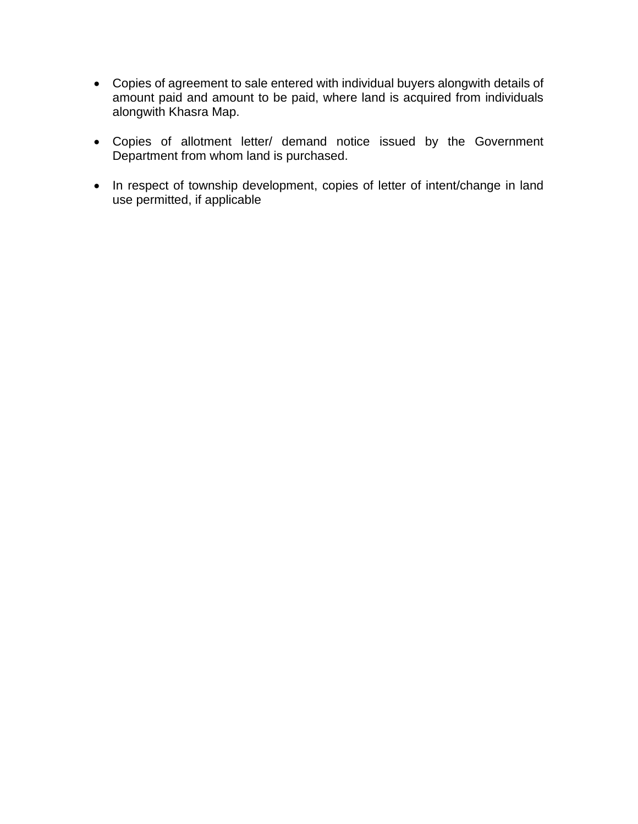- Copies of agreement to sale entered with individual buyers alongwith details of amount paid and amount to be paid, where land is acquired from individuals alongwith Khasra Map.
- Copies of allotment letter/ demand notice issued by the Government Department from whom land is purchased.
- In respect of township development, copies of letter of intent/change in land use permitted, if applicable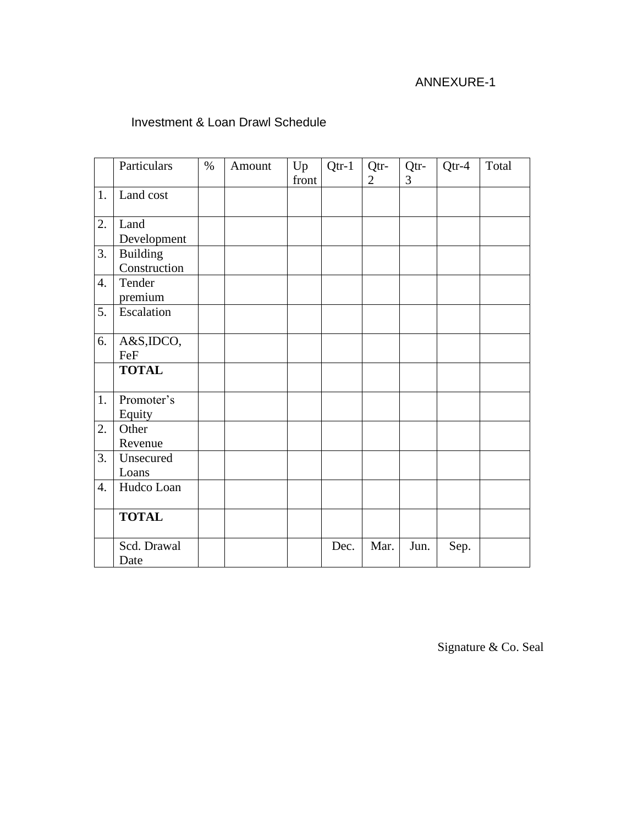# ANNEXURE-1

# Investment & Loan Drawl Schedule

|    | Particulars                     | $\%$ | Amount | Up<br>front | $Qtr-1$ | Qtr-<br>$\overline{2}$ | Qtr-<br>3 | $Qtr-4$ | Total |
|----|---------------------------------|------|--------|-------------|---------|------------------------|-----------|---------|-------|
| 1. | Land cost                       |      |        |             |         |                        |           |         |       |
| 2. | Land<br>Development             |      |        |             |         |                        |           |         |       |
| 3. | <b>Building</b><br>Construction |      |        |             |         |                        |           |         |       |
| 4. | Tender<br>premium               |      |        |             |         |                        |           |         |       |
| 5. | Escalation                      |      |        |             |         |                        |           |         |       |
| 6. | A&S,IDCO,<br>FeF                |      |        |             |         |                        |           |         |       |
|    | <b>TOTAL</b>                    |      |        |             |         |                        |           |         |       |
| 1. | Promoter's<br>Equity            |      |        |             |         |                        |           |         |       |
| 2. | Other<br>Revenue                |      |        |             |         |                        |           |         |       |
| 3. | Unsecured<br>Loans              |      |        |             |         |                        |           |         |       |
| 4. | Hudco Loan                      |      |        |             |         |                        |           |         |       |
|    | <b>TOTAL</b>                    |      |        |             |         |                        |           |         |       |
|    | Scd. Drawal<br>Date             |      |        |             | Dec.    | Mar.                   | Jun.      | Sep.    |       |

Signature & Co. Seal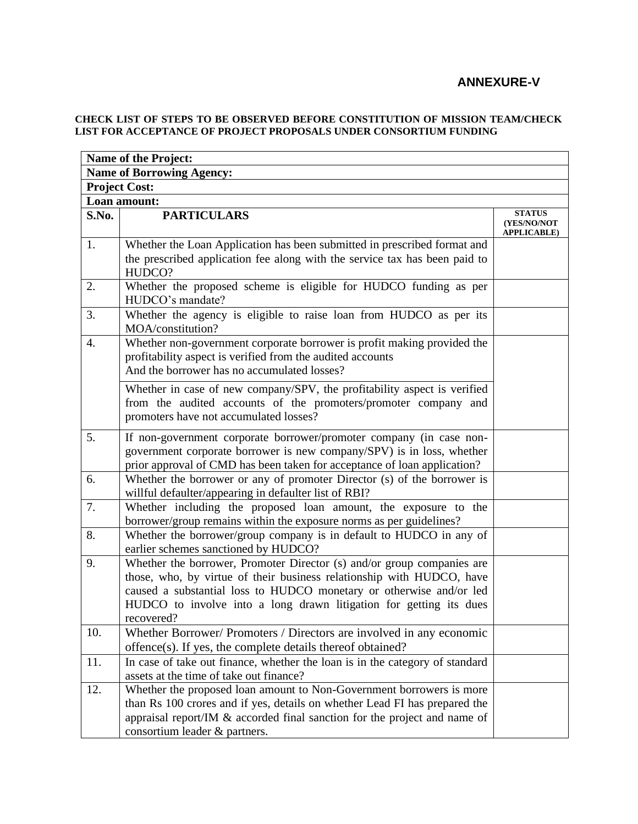# **ANNEXURE-V**

#### **CHECK LIST OF STEPS TO BE OBSERVED BEFORE CONSTITUTION OF MISSION TEAM/CHECK LIST FOR ACCEPTANCE OF PROJECT PROPOSALS UNDER CONSORTIUM FUNDING**

|                                  | <b>Name of the Project:</b>                                                                                                                                                                                                                                                                                |                                                    |  |  |  |  |  |  |
|----------------------------------|------------------------------------------------------------------------------------------------------------------------------------------------------------------------------------------------------------------------------------------------------------------------------------------------------------|----------------------------------------------------|--|--|--|--|--|--|
| <b>Name of Borrowing Agency:</b> |                                                                                                                                                                                                                                                                                                            |                                                    |  |  |  |  |  |  |
| <b>Project Cost:</b>             |                                                                                                                                                                                                                                                                                                            |                                                    |  |  |  |  |  |  |
|                                  | Loan amount:                                                                                                                                                                                                                                                                                               |                                                    |  |  |  |  |  |  |
| S.No.                            | <b>PARTICULARS</b>                                                                                                                                                                                                                                                                                         | <b>STATUS</b><br>(YES/NO/NOT<br><b>APPLICABLE)</b> |  |  |  |  |  |  |
| 1.                               | Whether the Loan Application has been submitted in prescribed format and<br>the prescribed application fee along with the service tax has been paid to<br>HUDCO?                                                                                                                                           |                                                    |  |  |  |  |  |  |
| 2.                               | Whether the proposed scheme is eligible for HUDCO funding as per<br>HUDCO's mandate?                                                                                                                                                                                                                       |                                                    |  |  |  |  |  |  |
| 3.                               | Whether the agency is eligible to raise loan from HUDCO as per its<br>MOA/constitution?                                                                                                                                                                                                                    |                                                    |  |  |  |  |  |  |
| 4.                               | Whether non-government corporate borrower is profit making provided the<br>profitability aspect is verified from the audited accounts<br>And the borrower has no accumulated losses?                                                                                                                       |                                                    |  |  |  |  |  |  |
|                                  | Whether in case of new company/SPV, the profitability aspect is verified<br>from the audited accounts of the promoters/promoter company and<br>promoters have not accumulated losses?                                                                                                                      |                                                    |  |  |  |  |  |  |
| 5.                               | If non-government corporate borrower/promoter company (in case non-<br>government corporate borrower is new company/SPV) is in loss, whether<br>prior approval of CMD has been taken for acceptance of loan application?                                                                                   |                                                    |  |  |  |  |  |  |
| 6.                               | Whether the borrower or any of promoter Director (s) of the borrower is<br>willful defaulter/appearing in defaulter list of RBI?                                                                                                                                                                           |                                                    |  |  |  |  |  |  |
| 7.                               | Whether including the proposed loan amount, the exposure to the<br>borrower/group remains within the exposure norms as per guidelines?                                                                                                                                                                     |                                                    |  |  |  |  |  |  |
| 8.                               | Whether the borrower/group company is in default to HUDCO in any of<br>earlier schemes sanctioned by HUDCO?                                                                                                                                                                                                |                                                    |  |  |  |  |  |  |
| 9.                               | Whether the borrower, Promoter Director (s) and/or group companies are<br>those, who, by virtue of their business relationship with HUDCO, have<br>caused a substantial loss to HUDCO monetary or otherwise and/or led<br>HUDCO to involve into a long drawn litigation for getting its dues<br>recovered? |                                                    |  |  |  |  |  |  |
| 10.                              | Whether Borrower/ Promoters / Directors are involved in any economic<br>offence(s). If yes, the complete details thereof obtained?                                                                                                                                                                         |                                                    |  |  |  |  |  |  |
| 11.                              | In case of take out finance, whether the loan is in the category of standard<br>assets at the time of take out finance?                                                                                                                                                                                    |                                                    |  |  |  |  |  |  |
| 12.                              | Whether the proposed loan amount to Non-Government borrowers is more<br>than Rs 100 crores and if yes, details on whether Lead FI has prepared the<br>appraisal report/IM & accorded final sanction for the project and name of<br>consortium leader & partners.                                           |                                                    |  |  |  |  |  |  |